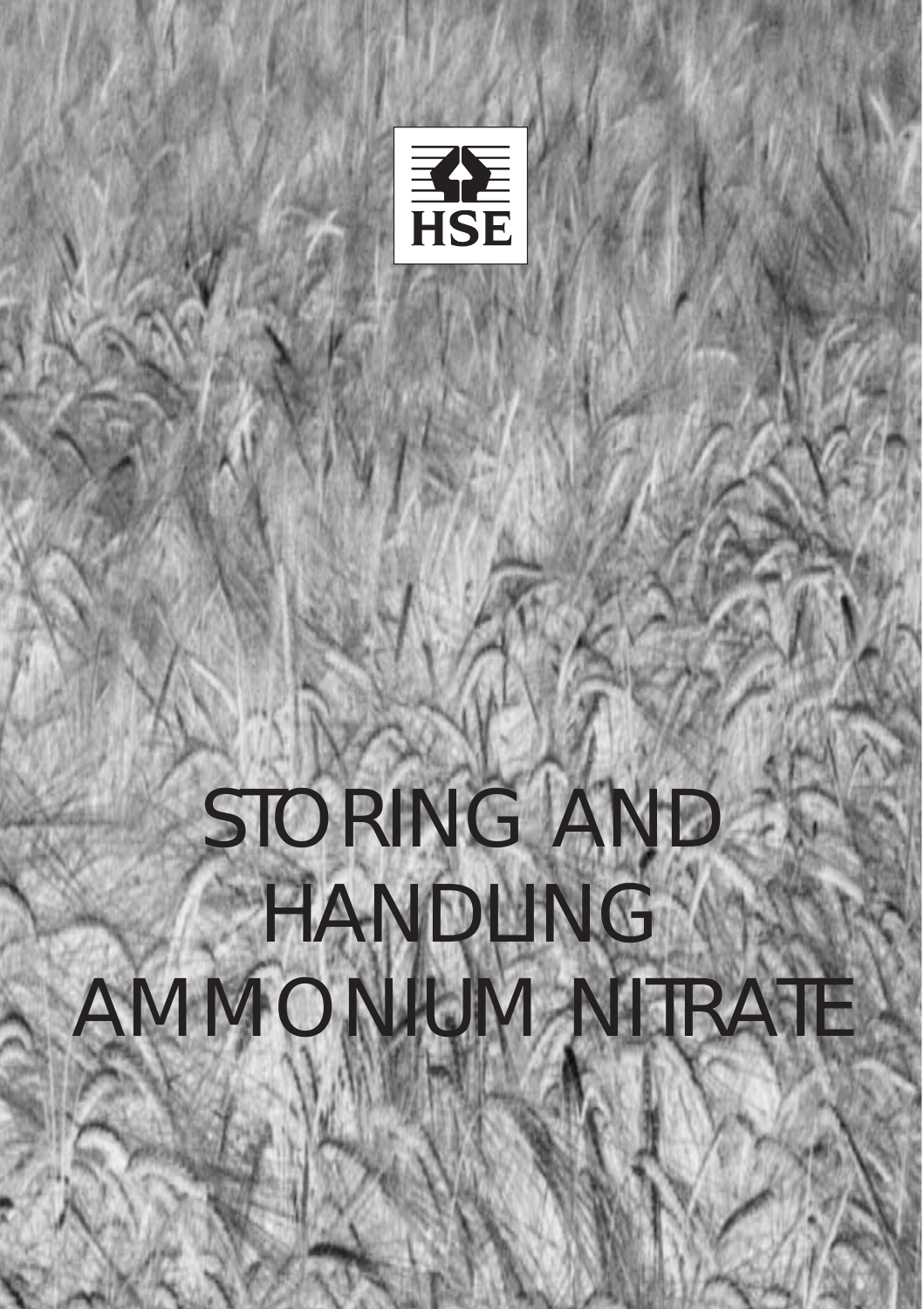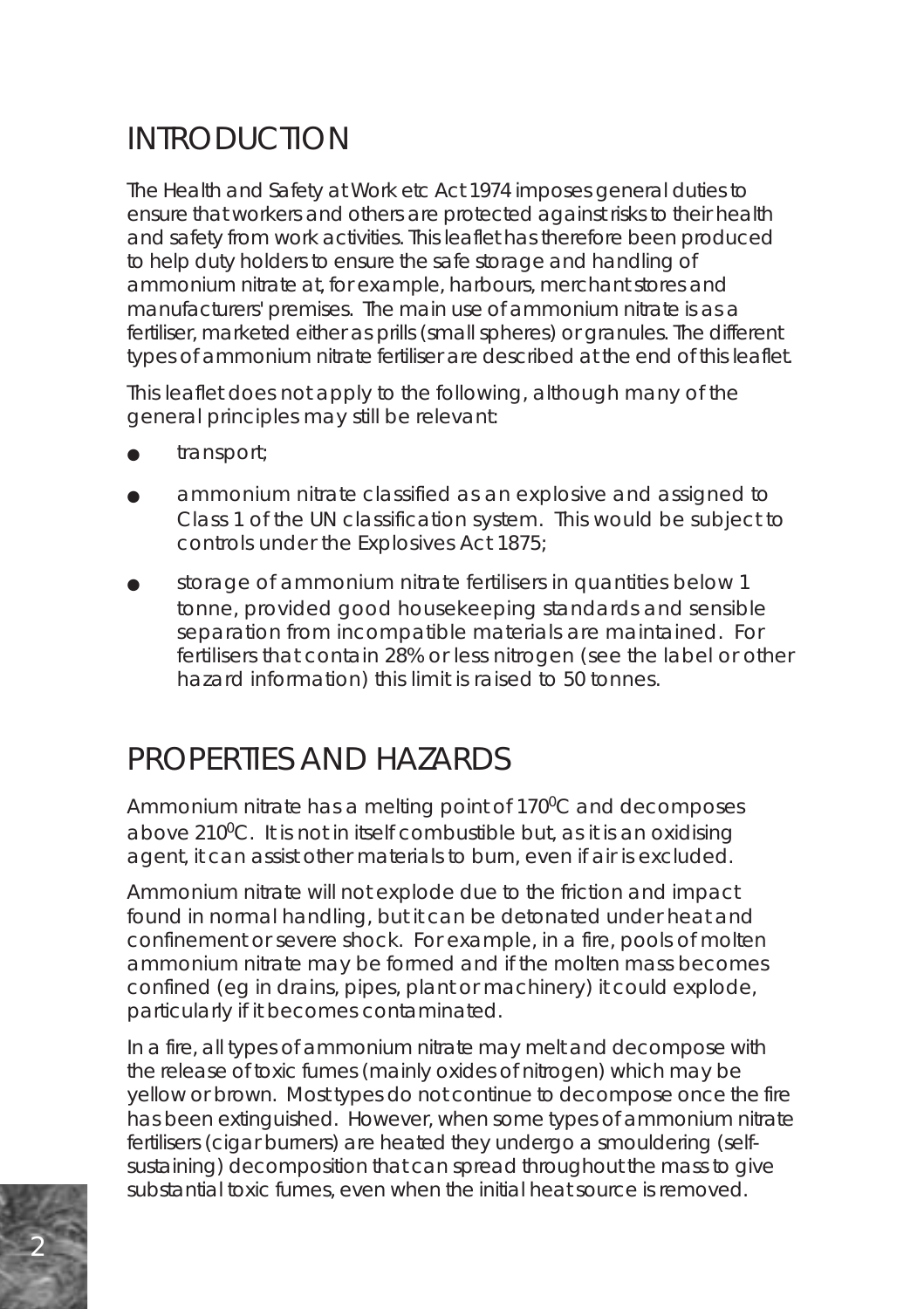# INTRODUCTION

The Health and Safety at Work etc Act 1974 imposes general duties to ensure that workers and others are protected against risks to their health and safety from work activities. This leaflet has therefore been produced to help duty holders to ensure the safe storage and handling of ammonium nitrate at, for example, harbours, merchant stores and manufacturers' premises. The main use of ammonium nitrate is as a fertiliser, marketed either as prills (small spheres) or granules. The different types of ammonium nitrate fertiliser are described at the end of this leaflet.

This leaflet does not apply to the following, although many of the general principles may still be relevant:

- transport;
- ammonium nitrate classified as an explosive and assigned to Class 1 of the UN classification system. This would be subject to controls under the Explosives Act 1875;
- storage of ammonium nitrate fertilisers in quantities below 1 tonne, provided good housekeeping standards and sensible separation from incompatible materials are maintained. For fertilisers that contain 28% or less nitrogen (see the label or other hazard information) this limit is raised to 50 tonnes.

## PROPERTIES AND HAZARDS

Ammonium nitrate has a melting point of 170°C and decomposes above  $210^0$ C. It is not in itself combustible but, as it is an oxidising agent, it can assist other materials to burn, even if air is excluded.

Ammonium nitrate will not explode due to the friction and impact found in normal handling, but it can be detonated under heat and confinement or severe shock. For example, in a fire, pools of molten ammonium nitrate may be formed and if the molten mass becomes confined (eg in drains, pipes, plant or machinery) it could explode, particularly if it becomes contaminated.

In a fire, all types of ammonium nitrate may melt and decompose with the release of toxic fumes (mainly oxides of nitrogen) which may be yellow or brown. Most types do not continue to decompose once the fire has been extinguished. However, when some types of ammonium nitrate fertilisers (cigar burners) are heated they undergo a smouldering (selfsustaining) decomposition that can spread throughout the mass to give substantial toxic fumes, even when the initial heat source is removed.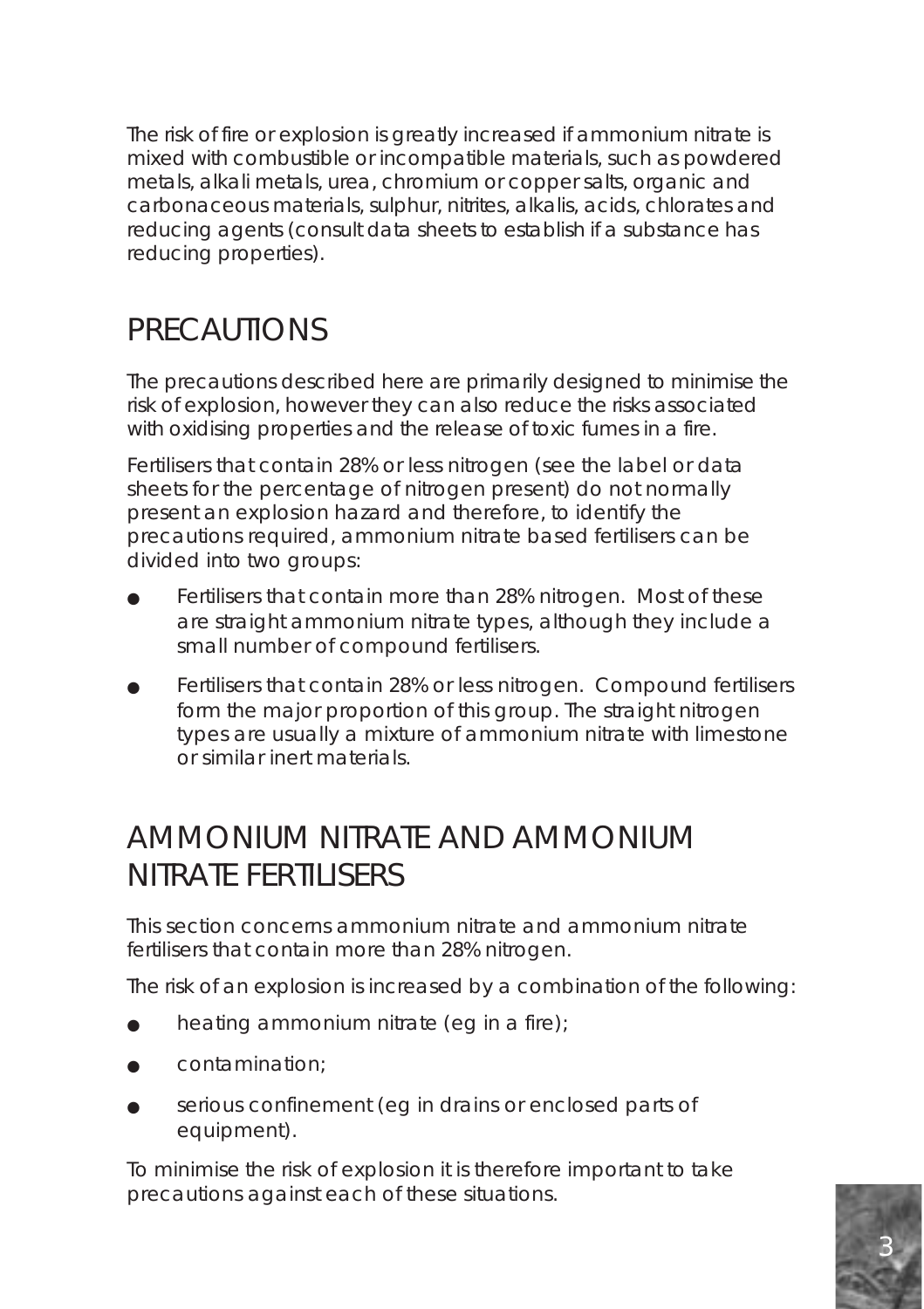The risk of fire or explosion is greatly increased if ammonium nitrate is mixed with combustible or incompatible materials, such as powdered metals, alkali metals, urea, chromium or copper salts, organic and carbonaceous materials, sulphur, nitrites, alkalis, acids, chlorates and reducing agents (consult data sheets to establish if a substance has reducing properties).

### **PRECAUTIONS**

The precautions described here are primarily designed to minimise the risk of explosion, however they can also reduce the risks associated with oxidising properties and the release of toxic fumes in a fire.

Fertilisers that contain 28% or less nitrogen (see the label or data sheets for the percentage of nitrogen present) do not normally present an explosion hazard and therefore, to identify the precautions required, ammonium nitrate based fertilisers can be divided into two groups:

- Fertilisers that contain more than 28% nitrogen. Most of these are straight ammonium nitrate types, although they include a small number of compound fertilisers.
- Fertilisers that contain 28% or less nitrogen. Compound fertilisers form the major proportion of this group. The straight nitrogen types are usually a mixture of ammonium nitrate with limestone or similar inert materials.

### AMMONIUM NITRATE AND AMMONIUM NITRATE FERTILISERS

This section concerns ammonium nitrate and ammonium nitrate fertilisers that contain more than 28% nitrogen.

The risk of an explosion is increased by a combination of the following:

- heating ammonium nitrate (eg in a fire);
- contamination:
- serious confinement (eg in drains or enclosed parts of equipment).

To minimise the risk of explosion it is therefore important to take precautions against each of these situations.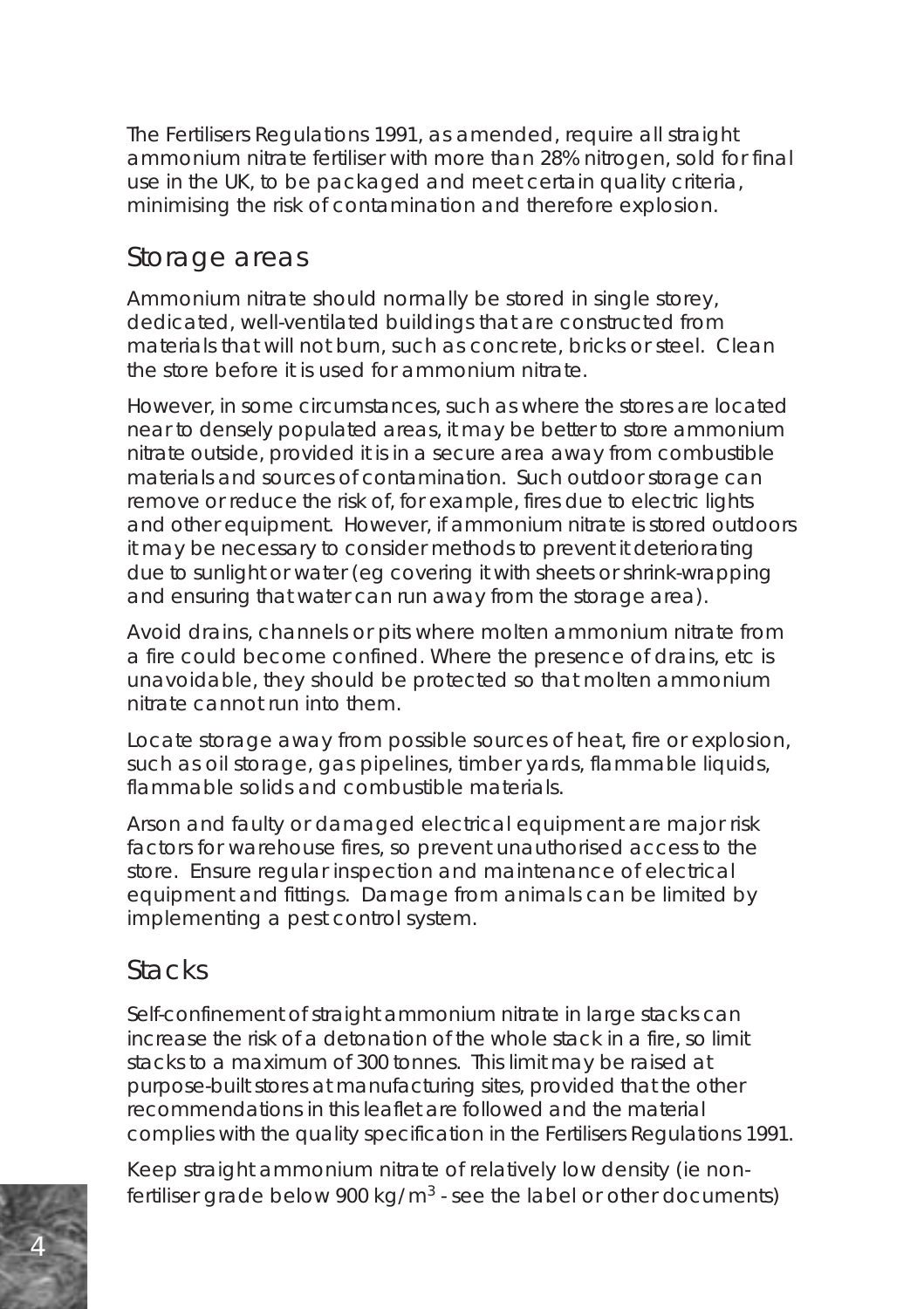The Fertilisers Regulations 1991, as amended, require all straight ammonium nitrate fertiliser with more than 28% nitrogen, sold for final use in the UK, to be packaged and meet certain quality criteria, minimising the risk of contamination and therefore explosion.

#### Storage areas

Ammonium nitrate should normally be stored in single storey, dedicated, well-ventilated buildings that are constructed from materials that will not burn, such as concrete, bricks or steel. Clean the store before it is used for ammonium nitrate.

However, in some circumstances, such as where the stores are located near to densely populated areas, it may be better to store ammonium nitrate outside, provided it is in a secure area away from combustible materials and sources of contamination. Such outdoor storage can remove or reduce the risk of, for example, fires due to electric lights and other equipment. However, if ammonium nitrate is stored outdoors it may be necessary to consider methods to prevent it deteriorating due to sunlight or water (eg covering it with sheets or shrink-wrapping and ensuring that water can run away from the storage area).

Avoid drains, channels or pits where molten ammonium nitrate from a fire could become confined. Where the presence of drains, etc is unavoidable, they should be protected so that molten ammonium nitrate cannot run into them.

Locate storage away from possible sources of heat, fire or explosion, such as oil storage, gas pipelines, timber yards, flammable liquids, flammable solids and combustible materials.

Arson and faulty or damaged electrical equipment are major risk factors for warehouse fires, so prevent unauthorised access to the store. Ensure regular inspection and maintenance of electrical equipment and fittings. Damage from animals can be limited by implementing a pest control system.

#### **Stacks**

Self-confinement of straight ammonium nitrate in large stacks can increase the risk of a detonation of the whole stack in a fire, so limit stacks to a maximum of 300 tonnes. This limit may be raised at purpose-built stores at manufacturing sites, provided that the other recommendations in this leaflet are followed and the material complies with the quality specification in the Fertilisers Regulations 1991.

Keep straight ammonium nitrate of relatively low density (ie nonfertiliser grade below 900 kg/ $m<sup>3</sup>$  - see the label or other documents)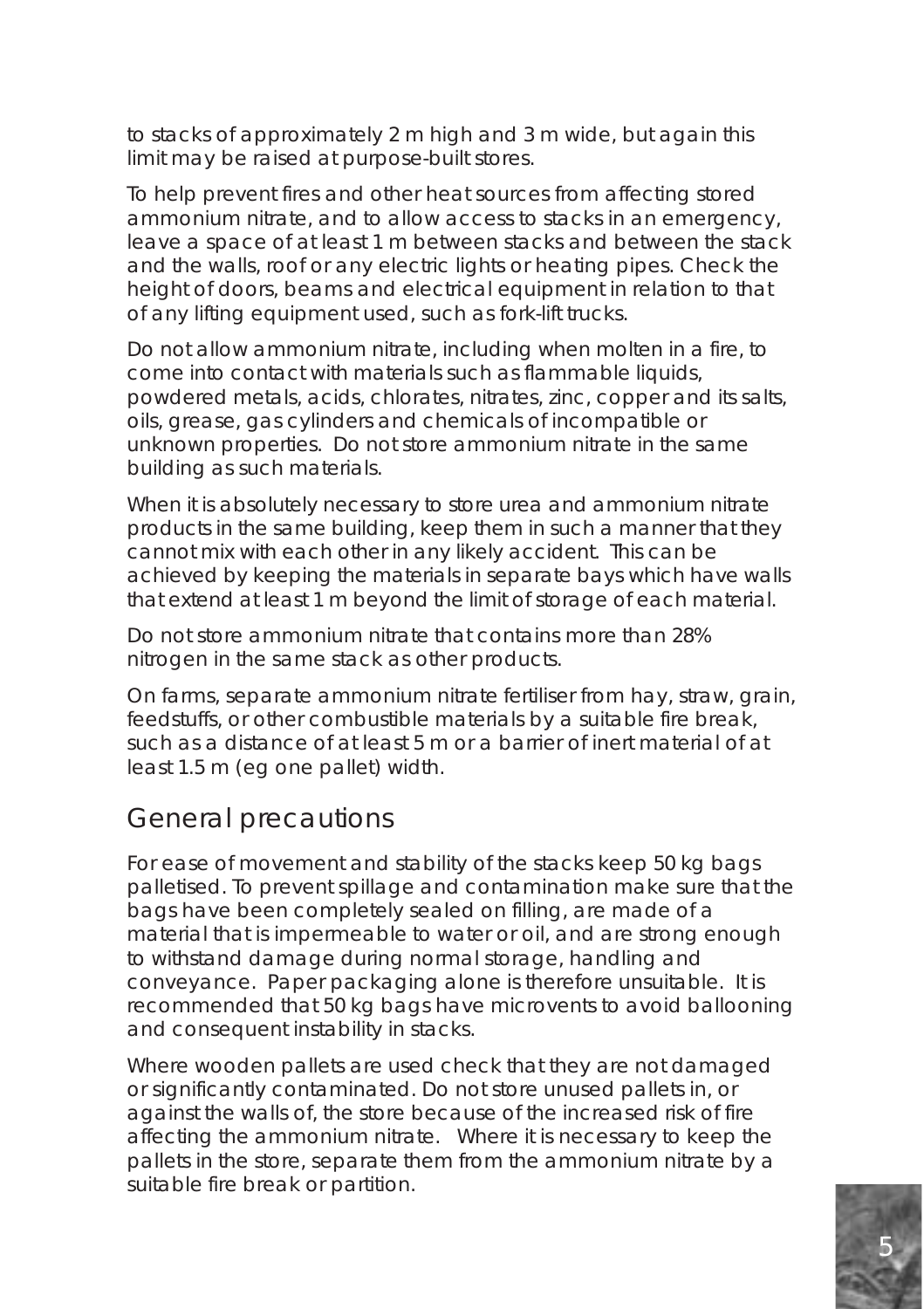to stacks of approximately 2 m high and 3 m wide, but again this limit may be raised at purpose-built stores.

To help prevent fires and other heat sources from affecting stored ammonium nitrate, and to allow access to stacks in an emergency, leave a space of at least 1 m between stacks and between the stack and the walls, roof or any electric lights or heating pipes. Check the height of doors, beams and electrical equipment in relation to that of any lifting equipment used, such as fork-lift trucks.

Do not allow ammonium nitrate, including when molten in a fire, to come into contact with materials such as flammable liquids, powdered metals, acids, chlorates, nitrates, zinc, copper and its salts, oils, grease, gas cylinders and chemicals of incompatible or unknown properties. Do not store ammonium nitrate in the same building as such materials.

When it is absolutely necessary to store urea and ammonium nitrate products in the same building, keep them in such a manner that they cannot mix with each other in any likely accident. This can be achieved by keeping the materials in separate bays which have walls that extend at least 1 m beyond the limit of storage of each material.

Do not store ammonium nitrate that contains more than 28% nitrogen in the same stack as other products.

On farms, separate ammonium nitrate fertiliser from hay, straw, grain, feedstuffs, or other combustible materials by a suitable fire break, such as a distance of at least 5 m or a barrier of inert material of at least 1.5 m (eg one pallet) width.

#### General precautions

For ease of movement and stability of the stacks keep 50 kg bags palletised. To prevent spillage and contamination make sure that the bags have been completely sealed on filling, are made of a material that is impermeable to water or oil, and are strong enough to withstand damage during normal storage, handling and conveyance. Paper packaging alone is therefore unsuitable. It is recommended that 50 kg bags have microvents to avoid ballooning and consequent instability in stacks.

Where wooden pallets are used check that they are not damaged or significantly contaminated. Do not store unused pallets in, or against the walls of, the store because of the increased risk of fire affecting the ammonium nitrate. Where it is necessary to keep the pallets in the store, separate them from the ammonium nitrate by a suitable fire break or partition.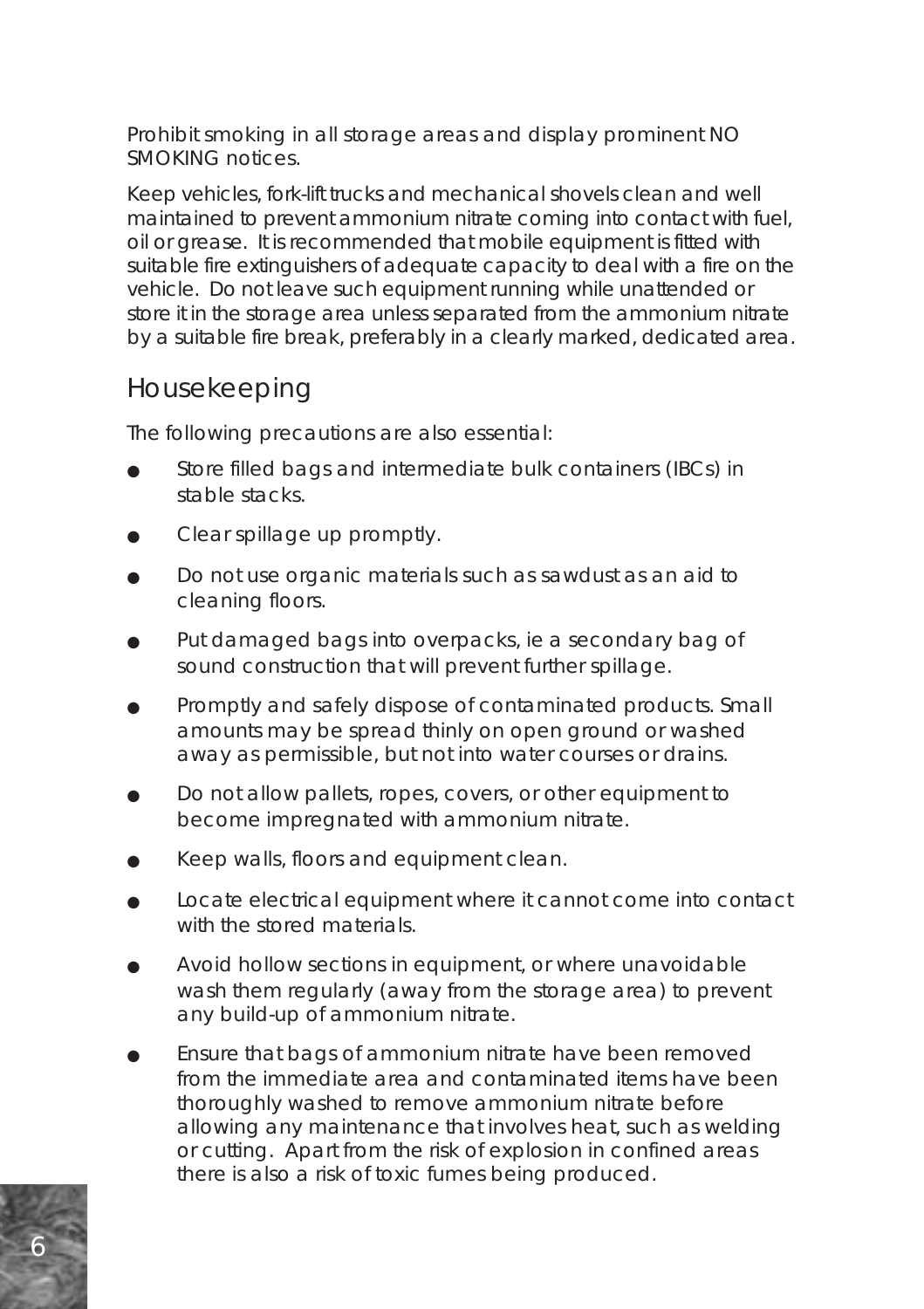Prohibit smoking in all storage areas and display prominent NO SMOKING notices.

Keep vehicles, fork-lift trucks and mechanical shovels clean and well maintained to prevent ammonium nitrate coming into contact with fuel, oil or grease. It is recommended that mobile equipment is fitted with suitable fire extinguishers of adequate capacity to deal with a fire on the vehicle. Do not leave such equipment running while unattended or store it in the storage area unless separated from the ammonium nitrate by a suitable fire break, preferably in a clearly marked, dedicated area.

#### Housekeeping

The following precautions are also essential:

- Store filled bags and intermediate bulk containers (IBCs) in stable stacks.
- Clear spillage up promptly.
- Do not use organic materials such as sawdust as an aid to cleaning floors.
- Put damaged bags into overpacks, ie a secondary bag of sound construction that will prevent further spillage.
- Promptly and safely dispose of contaminated products. Small amounts may be spread thinly on open ground or washed away as permissible, but not into water courses or drains.
- Do not allow pallets, ropes, covers, or other equipment to become impregnated with ammonium nitrate.
- Keep walls, floors and equipment clean.
- Locate electrical equipment where it cannot come into contact with the stored materials.
- Avoid hollow sections in equipment, or where unavoidable wash them regularly (away from the storage area) to prevent any build-up of ammonium nitrate.
- Ensure that bags of ammonium nitrate have been removed from the immediate area and contaminated items have been thoroughly washed to remove ammonium nitrate before allowing any maintenance that involves heat, such as welding or cutting. Apart from the risk of explosion in confined areas there is also a risk of toxic fumes being produced.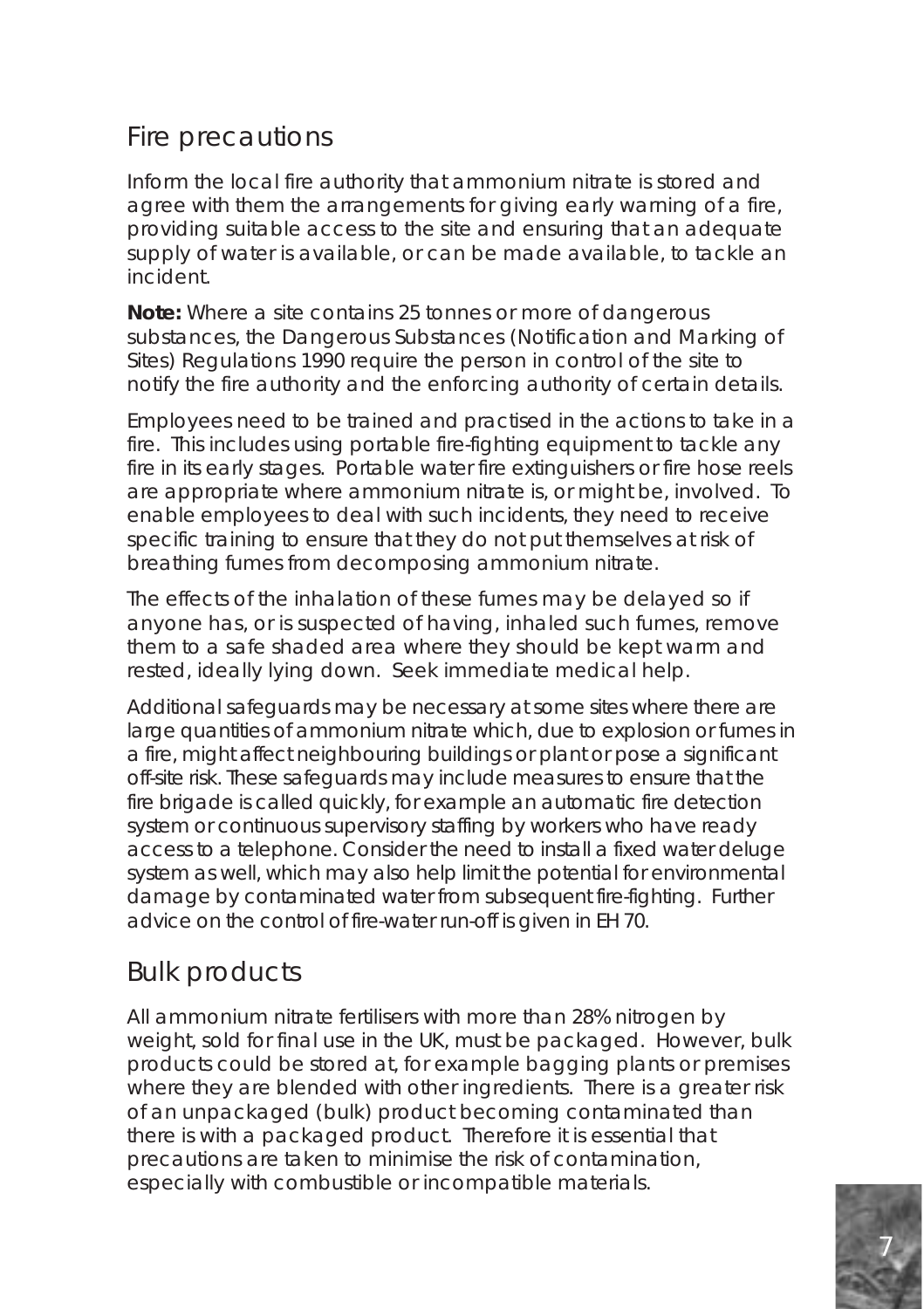#### Fire precautions

Inform the local fire authority that ammonium nitrate is stored and agree with them the arrangements for giving early warning of a fire, providing suitable access to the site and ensuring that an adequate supply of water is available, or can be made available, to tackle an incident.

**Note:** Where a site contains 25 tonnes or more of dangerous substances, the Dangerous Substances (Notification and Marking of Sites) Regulations 1990 require the person in control of the site to notify the fire authority and the enforcing authority of certain details.

Employees need to be trained and practised in the actions to take in a fire. This includes using portable fire-fighting equipment to tackle any fire in its early stages. Portable water fire extinguishers or fire hose reels are appropriate where ammonium nitrate is, or might be, involved. To enable employees to deal with such incidents, they need to receive specific training to ensure that they do not put themselves at risk of breathing fumes from decomposing ammonium nitrate.

The effects of the inhalation of these fumes may be delayed so if anyone has, or is suspected of having, inhaled such fumes, remove them to a safe shaded area where they should be kept warm and rested, ideally lying down. Seek immediate medical help.

Additional safeguards may be necessary at some sites where there are large quantities of ammonium nitrate which, due to explosion or fumes in a fire, might affect neighbouring buildings or plant or pose a significant off-site risk. These safeguards may include measures to ensure that the fire brigade is called quickly, for example an automatic fire detection system or continuous supervisory staffing by workers who have ready access to a telephone. Consider the need to install a fixed water deluge system as well, which may also help limit the potential for environmental damage by contaminated water from subsequent fire-fighting. Further advice on the control of fire-water run-off is given in EH 70.

#### Bulk products

All ammonium nitrate fertilisers with more than 28% nitrogen by weight, sold for final use in the UK, must be packaged. However, bulk products could be stored at, for example bagging plants or premises where they are blended with other ingredients. There is a greater risk of an unpackaged (bulk) product becoming contaminated than there is with a packaged product. Therefore it is essential that precautions are taken to minimise the risk of contamination, especially with combustible or incompatible materials.

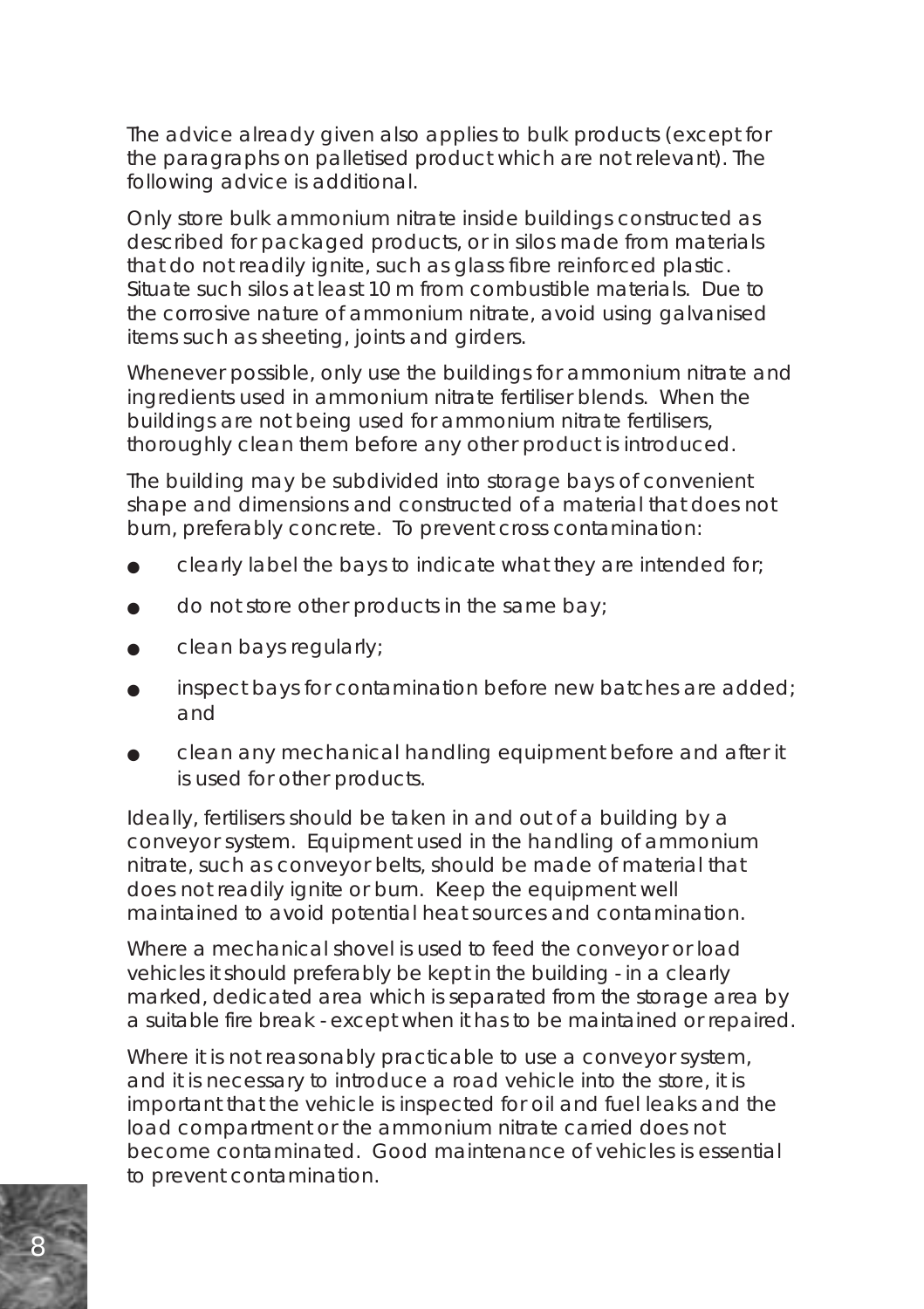The advice already given also applies to bulk products (except for the paragraphs on palletised product which are not relevant). The following advice is additional.

Only store bulk ammonium nitrate inside buildings constructed as described for packaged products, or in silos made from materials that do not readily ignite, such as glass fibre reinforced plastic. Situate such silos at least 10 m from combustible materials. Due to the corrosive nature of ammonium nitrate, avoid using galvanised items such as sheeting, joints and girders.

Whenever possible, only use the buildings for ammonium nitrate and ingredients used in ammonium nitrate fertiliser blends. When the buildings are not being used for ammonium nitrate fertilisers, thoroughly clean them before any other product is introduced.

The building may be subdivided into storage bays of convenient shape and dimensions and constructed of a material that does not burn, preferably concrete. To prevent cross contamination:

- clearly label the bays to indicate what they are intended for;
- $\alpha$  do not store other products in the same bay;
- clean bays regularly;
- inspect bays for contamination before new batches are added; and
- clean any mechanical handling equipment before and after it is used for other products.

Ideally, fertilisers should be taken in and out of a building by a conveyor system. Equipment used in the handling of ammonium nitrate, such as conveyor belts, should be made of material that does not readily ignite or burn. Keep the equipment well maintained to avoid potential heat sources and contamination.

Where a mechanical shovel is used to feed the conveyor or load vehicles it should preferably be kept in the building - in a clearly marked, dedicated area which is separated from the storage area by a suitable fire break - except when it has to be maintained or repaired.

Where it is not reasonably practicable to use a conveyor system, and it is necessary to introduce a road vehicle into the store, it is important that the vehicle is inspected for oil and fuel leaks and the load compartment or the ammonium nitrate carried does not become contaminated. Good maintenance of vehicles is essential to prevent contamination.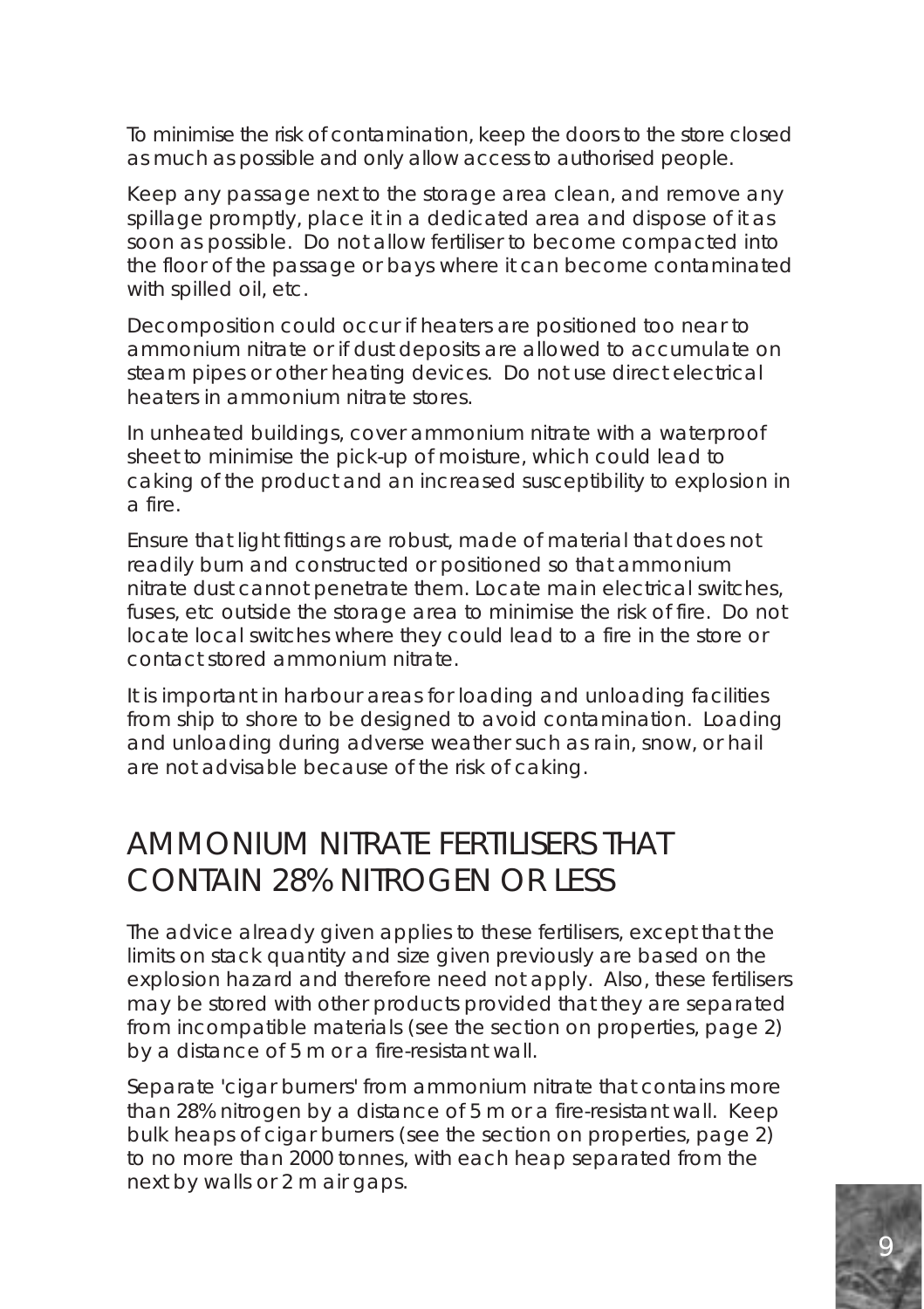To minimise the risk of contamination, keep the doors to the store closed as much as possible and only allow access to authorised people.

Keep any passage next to the storage area clean, and remove any spillage promptly, place it in a dedicated area and dispose of it as soon as possible. Do not allow fertiliser to become compacted into the floor of the passage or bays where it can become contaminated with spilled oil, etc.

Decomposition could occur if heaters are positioned too near to ammonium nitrate or if dust deposits are allowed to accumulate on steam pipes or other heating devices. Do not use direct electrical heaters in ammonium nitrate stores.

In unheated buildings, cover ammonium nitrate with a waterproof sheet to minimise the pick-up of moisture, which could lead to caking of the product and an increased susceptibility to explosion in a fire.

Ensure that light fittings are robust, made of material that does not readily burn and constructed or positioned so that ammonium nitrate dust cannot penetrate them. Locate main electrical switches, fuses, etc outside the storage area to minimise the risk of fire. Do not locate local switches where they could lead to a fire in the store or contact stored ammonium nitrate.

It is important in harbour areas for loading and unloading facilities from ship to shore to be designed to avoid contamination. Loading and unloading during adverse weather such as rain, snow, or hail are not advisable because of the risk of caking.

### AMMONIUM NITRATE FERTILISERS THAT CONTAIN 28% NITROGEN OR LESS

The advice already given applies to these fertilisers, except that the limits on stack quantity and size given previously are based on the explosion hazard and therefore need not apply. Also, these fertilisers may be stored with other products provided that they are separated from incompatible materials (see the section on properties, page 2) by a distance of 5 m or a fire-resistant wall.

Separate 'cigar burners' from ammonium nitrate that contains more than 28% nitrogen by a distance of 5 m or a fire-resistant wall. Keep bulk heaps of cigar burners (see the section on properties, page 2) to no more than 2000 tonnes, with each heap separated from the next by walls or 2 m air gaps.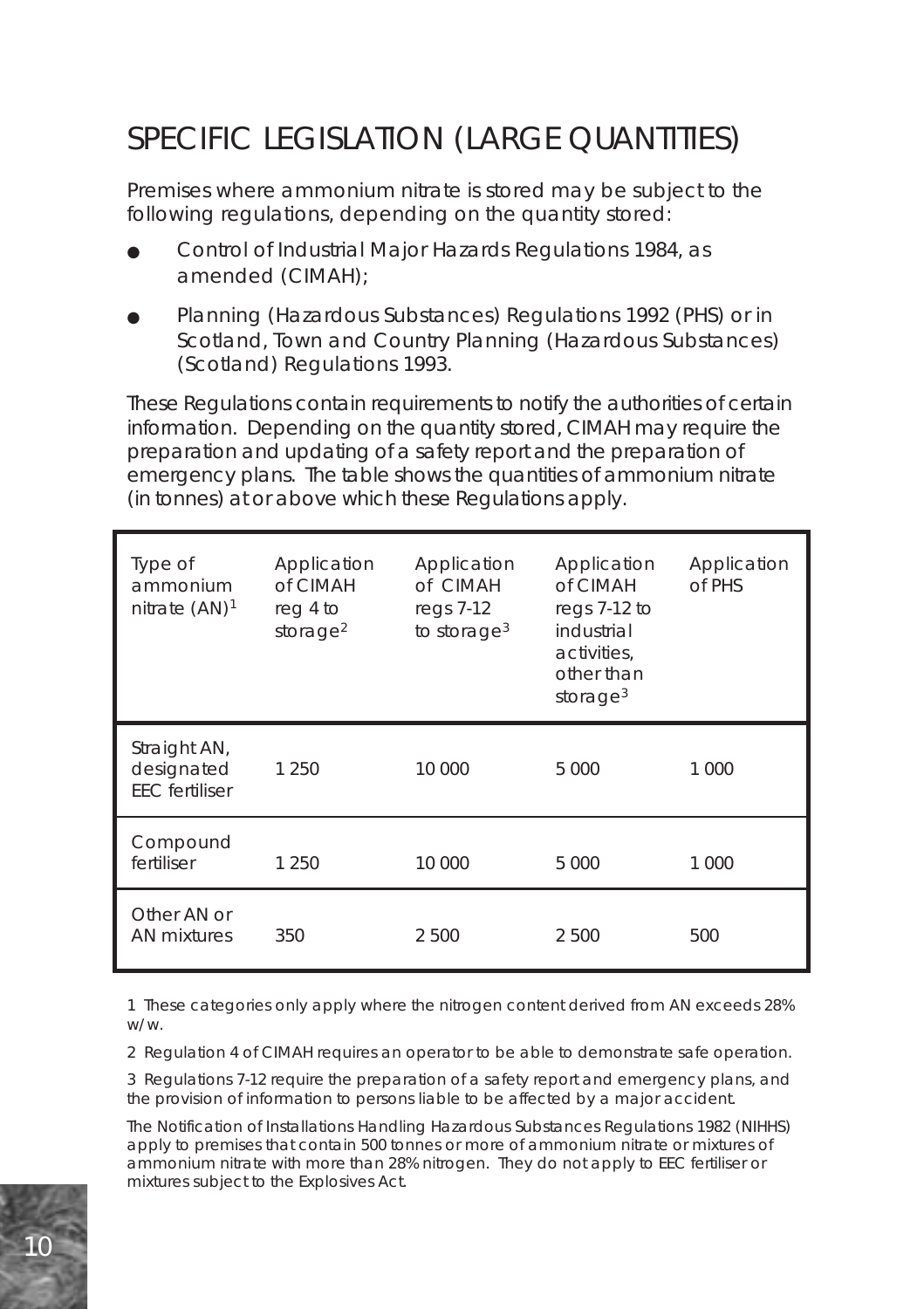# SPECIFIC LEGISLATION (LARGE QUANTITIES)

Premises where ammonium nitrate is stored may be subject to the following regulations, depending on the quantity stored:

- Control of Industrial Major Hazards Regulations 1984, as amended (CIMAH);
- Planning (Hazardous Substances) Regulations 1992 (PHS) or in Scotland, Town and Country Planning (Hazardous Substances) (Scotland) Regulations 1993.

These Regulations contain requirements to notify the authorities of certain information. Depending on the quantity stored, CIMAH may require the preparation and updating of a safety report and the preparation of emergency plans. The table shows the quantities of ammonium nitrate (in tonnes) at or above which these Regulations apply.

| Type of<br>ammonium<br>nitrate $(AN)^1$             | Application<br>of CIMAH<br>reg 4 to<br>storage $2$ | Application<br>of CIMAH<br>regs 7-12<br>to storage $3$ | Application<br>of CIMAH<br>regs 7-12 to<br>industrial<br>activities,<br>other than<br>storage $3$ | Application<br>of PHS |
|-----------------------------------------------------|----------------------------------------------------|--------------------------------------------------------|---------------------------------------------------------------------------------------------------|-----------------------|
| Straight AN,<br>designated<br><b>EEC</b> fertiliser | 1 250                                              | 10 000                                                 | 5 0 0 0                                                                                           | 1 000                 |
| Compound<br>fertiliser                              | 1 250                                              | 10 000                                                 | 5 0 0 0                                                                                           | 1 000                 |
| Other AN or<br>AN mixtures                          | 350                                                | 2 500                                                  | 2 500                                                                                             | 500                   |

1 These categories only apply where the nitrogen content derived from AN exceeds 28% w/w.

2 Regulation 4 of CIMAH requires an operator to be able to demonstrate safe operation.

3 Regulations 7-12 require the preparation of a safety report and emergency plans, and the provision of information to persons liable to be affected by a major accident.

The Notification of Installations Handling Hazardous Substances Regulations 1982 (NIHHS) apply to premises that contain 500 tonnes or more of ammonium nitrate or mixtures of ammonium nitrate with more than 28% nitrogen. They do not apply to EEC fertiliser or mixtures subject to the Explosives Act.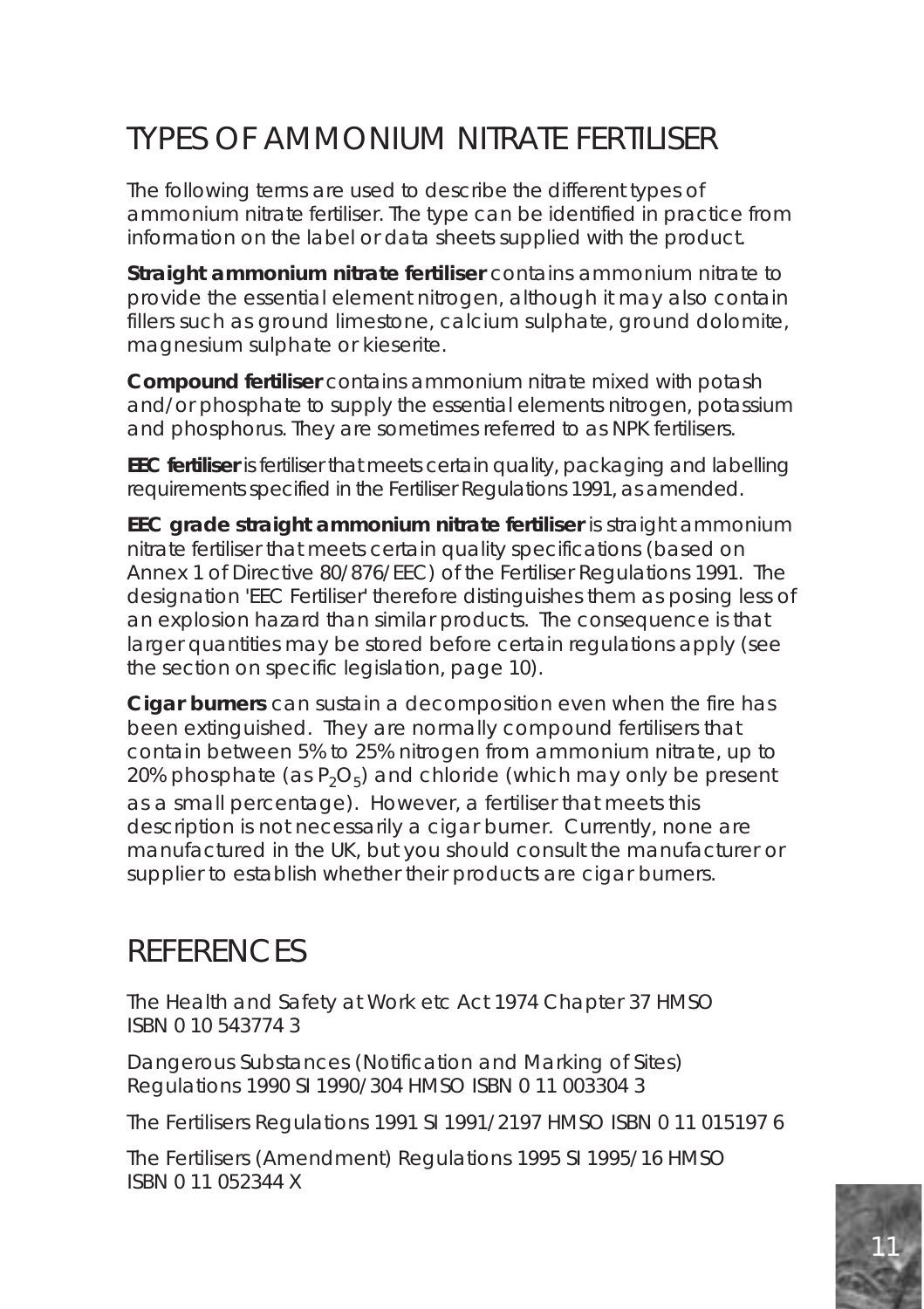# TYPES OF AMMONIUM NITRATE FERTILISER

The following terms are used to describe the different types of ammonium nitrate fertiliser. The type can be identified in practice from information on the label or data sheets supplied with the product.

**Straight ammonium nitrate fertiliser** contains ammonium nitrate to provide the essential element nitrogen, although it may also contain fillers such as ground limestone, calcium sulphate, ground dolomite, magnesium sulphate or kieserite.

**Compound fertiliser** contains ammonium nitrate mixed with potash and/or phosphate to supply the essential elements nitrogen, potassium and phosphorus. They are sometimes referred to as NPK fertilisers.

**EEC fertiliser** is fertiliser that meets certain quality, packaging and labelling requirements specified in the Fertiliser Regulations 1991, as amended.

**EEC grade straight ammonium nitrate fertiliser** is straight ammonium nitrate fertiliser that meets certain quality specifications (based on Annex 1 of Directive 80/876/EEC) of the Fertiliser Regulations 1991. The designation 'EEC Fertiliser' therefore distinguishes them as posing less of an explosion hazard than similar products. The consequence is that larger quantities may be stored before certain regulations apply (see the section on specific legislation, page 10).

**Cigar burners** can sustain a decomposition even when the fire has been extinguished. They are normally compound fertilisers that contain between 5% to 25% nitrogen from ammonium nitrate, up to 20% phosphate (as  $P_2O_5$ ) and chloride (which may only be present as a small percentage). However, a fertiliser that meets this description is not necessarily a cigar burner. Currently, none are manufactured in the UK, but you should consult the manufacturer or supplier to establish whether their products are cigar burners.

### **REFERENCES**

The Health and Safety at Work etc Act 1974 Chapter 37 HMSO ISBN 0 10 543774 3

Dangerous Substances (Notification and Marking of Sites) Regulations 1990 SI 1990/304 HMSO ISBN 0 11 003304 3

The Fertilisers Regulations 1991 SI 1991/2197 HMSO ISBN 0 11 015197 6

The Fertilisers (Amendment) Regulations 1995 SI 1995/16 HMSO ISBN 0 11 052344 X